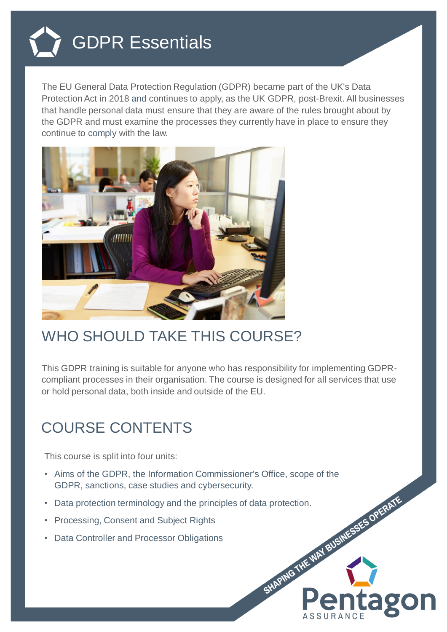

The EU General Data Protection Regulation (GDPR) became part of the UK's Data Protection Act in 2018 and continues to apply, as the UK GDPR, post-Brexit. All businesses that handle personal data must ensure that they are aware of the rules brought about by the GDPR and must examine the processes they currently have in place to ensure they continue to comply with the law.



## WHO SHOULD TAKE THIS COURSE?

This GDPR training is suitable for anyone who has responsibility for implementing GDPRcompliant processes in their organisation. The course is designed for all services that use or hold personal data, both inside and outside of the EU.

ag

## COURSE CONTENTS

This course is split into four units:

- Aims of the GDPR, the Information Commissioner's Office, scope of the GDPR, sanctions, case studies and cybersecurity.
- Bata protection terminology and the principles of data protection.<br>
Processing, Consent and Subject Rights<br>
Data Controller and Processor Obligations<br>
The Consent of Processor Obligations<br>
The Consent of Processor Obligati
- Processing, Consent and Subject Rights
- Data Controller and Processor Obligations